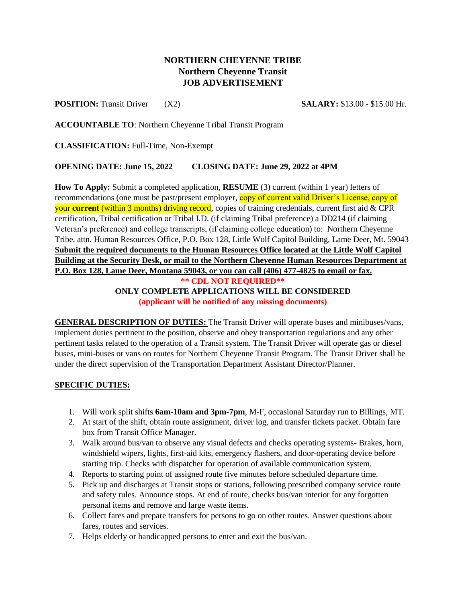## **NORTHERN CHEYENNE TRIBE Northern Cheyenne Transit JOB ADVERTISEMENT**

**POSITION:** Transit Driver (X2) **SALARY:** \$13.00 - \$15.00 Hr.

**ACCOUNTABLE TO**: Northern Cheyenne Tribal Transit Program

**CLASSIFICATION:** Full-Time, Non-Exempt

## **OPENING DATE: June 15, 2022 CLOSING DATE: June 29, 2022 at 4PM**

**How To Apply:** Submit a completed application, **RESUME** (3) current (within 1 year) letters of recommendations (one must be past/present employer, copy of current valid Driver's License, copy of your **current** (within 3 months) driving record, copies of training credentials, current first aid & CPR certification, Tribal certification or Tribal I.D. (if claiming Tribal preference) a DD214 (if claiming Veteran's preference) and college transcripts, (if claiming college education) to: Northern Cheyenne Tribe, attn. Human Resources Office, P.O. Box 128, Little Wolf Capitol Building, Lame Deer, Mt. 59043 **Submit the required documents to the Human Resources Office located at the Little Wolf Capitol Building at the Security Desk, or mail to the Northern Cheyenne Human Resources Department at P.O. Box 128, Lame Deer, Montana 59043, or you can call (406) 477-4825 to email or fax. \*\* CDL NOT REQUIRED\*\* ONLY COMPLETE APPLICATIONS WILL BE CONSIDERED (applicant will be notified of any missing documents)**

**GENERAL DESCRIPTION OF DUTIES:** The Transit Driver will operate buses and minibuses/vans, implement duties pertinent to the position, observe and obey transportation regulations and any other pertinent tasks related to the operation of a Transit system. The Transit Driver will operate gas or diesel buses, mini-buses or vans on routes for Northern Cheyenne Transit Program. The Transit Driver shall be under the direct supervision of the Transportation Department Assistant Director/Planner.

## **SPECIFIC DUTIES:**

- 1. Will work split shifts **6am-10am and 3pm-7pm**, M-F, occasional Saturday run to Billings, MT.
- 2. At start of the shift, obtain route assignment, driver log, and transfer tickets packet. Obtain fare box from Transit Office Manager.
- 3. Walk around bus/van to observe any visual defects and checks operating systems- Brakes, horn, windshield wipers, lights, first-aid kits, emergency flashers, and door-operating device before starting trip. Checks with dispatcher for operation of available communication system.
- 4. Reports to starting point of assigned route five minutes before scheduled departure time.
- 5. Pick up and discharges at Transit stops or stations, following prescribed company service route and safety rules. Announce stops. At end of route, checks bus/van interior for any forgotten personal items and remove and large waste items.
- 6. Collect fares and prepare transfers for persons to go on other routes. Answer questions about fares, routes and services.
- 7. Helps elderly or handicapped persons to enter and exit the bus/van.